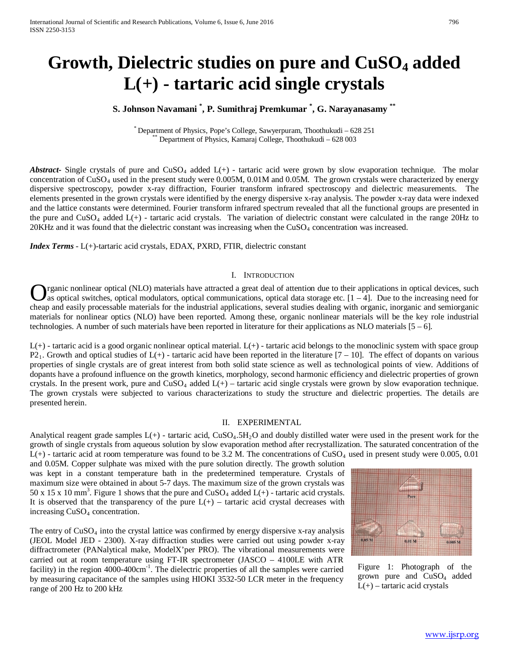# **Growth, Dielectric studies on pure and CuSO4 added L(+) - tartaric acid single crystals**

# **S. Johnson Navamani \* , P. Sumithraj Premkumar \* , G. Narayanasamy \*\***

\* Department of Physics, Pope's College, Sawyerpuram, Thoothukudi – 628 251 \*\* Department of Physics, Kamaraj College, Thoothukudi – 628 003

*Abstract***-** Single crystals of pure and CuSO<sub>4</sub> added L(+) - tartaric acid were grown by slow evaporation technique. The molar concentration of  $CuSO<sub>4</sub>$  used in the present study were 0.005M, 0.01M and 0.05M. The grown crystals were characterized by energy dispersive spectroscopy, powder x-ray diffraction, Fourier transform infrared spectroscopy and dielectric measurements. The elements presented in the grown crystals were identified by the energy dispersive x-ray analysis. The powder x-ray data were indexed and the lattice constants were determined. Fourier transform infrared spectrum revealed that all the functional groups are presented in the pure and  $CuSO<sub>4</sub>$  added  $L(+)$  - tartaric acid crystals. The variation of dielectric constant were calculated in the range 20Hz to 20KHz and it was found that the dielectric constant was increasing when the CuSO<sub>4</sub> concentration was increased.

*Index Terms* - L(+)-tartaric acid crystals, EDAX, PXRD, FTIR, dielectric constant

# I. INTRODUCTION

rganic nonlinear optical (NLO) materials have attracted a great deal of attention due to their applications in optical devices, such as optical switches, optical modulators, optical communications, optical data storage etc.  $[1 - 4]$ . Due to the increasing need for **C** reganic nonlinear optical (NLO) materials have attracted a great deal of attention due to their applications in optical devices, such as optical switches, optical modulators, optical communications, optical data stora materials for nonlinear optics (NLO) have been reported. Among these, organic nonlinear materials will be the key role industrial technologies. A number of such materials have been reported in literature for their applications as NLO materials  $[5 - 6]$ .

 $L(+)$  - tartaric acid is a good organic nonlinear optical material.  $L(+)$  - tartaric acid belongs to the monoclinic system with space group  $P2<sub>1</sub>$ . Growth and optical studies of L(+) - tartaric acid have been reported in the literature [7 – 10]. The effect of dopants on various properties of single crystals are of great interest from both solid state science as well as technological points of view. Additions of dopants have a profound influence on the growth kinetics, morphology, second harmonic efficiency and dielectric properties of grown crystals. In the present work, pure and  $CuSO<sub>4</sub>$  added  $L(+)$  – tartaric acid single crystals were grown by slow evaporation technique. The grown crystals were subjected to various characterizations to study the structure and dielectric properties. The details are presented herein.

#### II. EXPERIMENTAL

Analytical reagent grade samples  $L(+)$  - tartaric acid,  $CuSO<sub>4</sub>$ .5H<sub>2</sub>O and doubly distilled water were used in the present work for the growth of single crystals from aqueous solution by slow evaporation method after recrystallization. The saturated concentration of the  $L(+)$  - tartaric acid at room temperature was found to be 3.2 M. The concentrations of  $CuSO<sub>4</sub>$  used in present study were 0.005, 0.01

and 0.05M. Copper sulphate was mixed with the pure solution directly. The growth solution was kept in a constant temperature bath in the predetermined temperature. Crystals of maximum size were obtained in about 5-7 days. The maximum size of the grown crystals was 50 x 15 x 10 mm<sup>3</sup>. Figure 1 shows that the pure and  $CuSO<sub>4</sub>$  added  $L(+)$  - tartaric acid crystals. It is observed that the transparency of the pure  $L(+)$  – tartaric acid crystal decreases with increasing CuSO<sub>4</sub> concentration.

The entry of  $CuSO<sub>4</sub>$  into the crystal lattice was confirmed by energy dispersive x-ray analysis (JEOL Model JED - 2300). X-ray diffraction studies were carried out using powder x-ray diffractrometer (PANalytical make, ModelX'per PRO). The vibrational measurements were carried out at room temperature using FT-IR spectrometer (JASCO – 4100LE with ATR facility) in the region 4000-400cm<sup>-1</sup>. The dielectric properties of all the samples were carried by measuring capacitance of the samples using HIOKI 3532-50 LCR meter in the frequency range of 200 Hz to 200 kHz



Figure 1: Photograph of the grown pure and CuSO4 added  $L(+)$  – tartaric acid crystals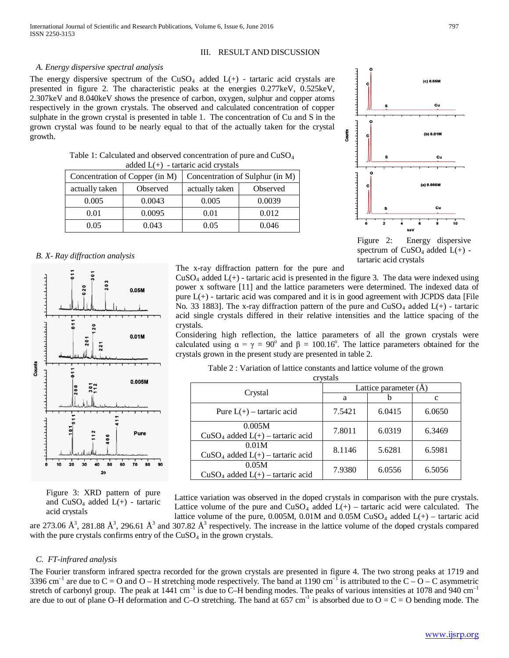## III. RESULT AND DISCUSSION

# *A. Energy dispersive spectral analysis*

The energy dispersive spectrum of the  $CuSO<sub>4</sub>$  added  $L(+)$  - tartaric acid crystals are presented in figure 2. The characteristic peaks at the energies 0.277keV, 0.525keV, 2.307keV and 8.040keV shows the presence of carbon, oxygen, sulphur and copper atoms respectively in the grown crystals. The observed and calculated concentration of copper sulphate in the grown crystal is presented in table 1. The concentration of Cu and S in the grown crystal was found to be nearly equal to that of the actually taken for the crystal growth.

| Table 1: Calculated and observed concentration of pure and $CuSO4$ |  |
|--------------------------------------------------------------------|--|
| added $L(+)$ - tartaric acid crystals                              |  |

| Concentration of Copper (in M) |          | Concentration of Sulphur (in M) |          |  |
|--------------------------------|----------|---------------------------------|----------|--|
| actually taken                 | Observed | actually taken                  | Observed |  |
| 0.005                          | 0.0043   | 0.005                           | 0.0039   |  |
| 0.01                           | 0.0095   | 0.01                            | 0.012    |  |
| 0.05                           | 0.043    | 0.05                            | 0.046    |  |

#### *B. X- Ray diffraction analysis*



Figure 3: XRD pattern of pure and  $CuSO<sub>4</sub>$  added  $L(+)$  - tartaric acid crystals

The x-ray diffraction pattern for the pure and

 $CuSO<sub>4</sub>$  added  $L(+)$  - tartaric acid is presented in the figure 3. The data were indexed using power x software [11] and the lattice parameters were determined. The indexed data of pure  $L(+)$  - tartaric acid was compared and it is in good agreement with JCPDS data [File No. 33 1883]. The x-ray diffraction pattern of the pure and  $CuSO<sub>4</sub>$  added  $L(+)$  - tartaric acid single crystals differed in their relative intensities and the lattice spacing of the crystals.

Considering high reflection, the lattice parameters of all the grown crystals were calculated using  $\alpha = \gamma = 90^{\circ}$  and  $\beta = 100.16^{\circ}$ . The lattice parameters obtained for the crystals grown in the present study are presented in table 2.

Table 2 : Variation of lattice constants and lattice volume of the grown

| crystals                                       |                               |        |        |  |  |
|------------------------------------------------|-------------------------------|--------|--------|--|--|
|                                                | Lattice parameter $(\dot{A})$ |        |        |  |  |
| Crystal                                        | a                             |        | c      |  |  |
| Pure $L(+)$ – tartaric acid                    | 7.5421                        | 6.0415 | 6.0650 |  |  |
| 0.005M<br>$CuSO4$ added $L(+)$ – tartaric acid | 7.8011                        | 6.0319 | 6.3469 |  |  |
| 0.01M<br>$CuSO4$ added $L(+)$ – tartaric acid  | 8.1146                        | 5.6281 | 6.5981 |  |  |
| 0.05M<br>$CuSO4$ added $L(+)$ – tartaric acid  | 7.9380                        | 6.0556 | 6.5056 |  |  |

Lattice variation was observed in the doped crystals in comparison with the pure crystals. Lattice volume of the pure and  $CuSO_4$  added  $L(+)$  – tartaric acid were calculated. The lattice volume of the pure, 0.005M, 0.01M and 0.05M CuSO<sub>4</sub> added  $L(+)$  – tartaric acid

are 273.06  $\AA^3$ , 281.88  $\AA^3$ , 296.61  $\AA^3$  and 307.82  $\AA^3$  respectively. The increase in the lattice volume of the doped crystals compared with the pure crystals confirms entry of the  $CuSO<sub>4</sub>$  in the grown crystals.

## *C. FT-infrared analysis*

The Fourier transform infrared spectra recorded for the grown crystals are presented in figure 4. The two strong peaks at 1719 and 3396 cm<sup>-1</sup> are due to C = O and O – H stretching mode respectively. The band at 1190 cm<sup>-1</sup> is attributed to the C – O – C asymmetric stretch of carbonyl group. The peak at 1441 cm<sup>-1</sup> is due to C–H bending modes. The peaks of various intensities at 1078 and 940 cm<sup>-1</sup> are due to out of plane O–H deformation and C–O stretching. The band at 657 cm<sup>-1</sup> is absorbed due to  $O = C = O$  bending mode. The



Figure 2: Energy dispersive spectrum of  $CuSO<sub>4</sub>$  added  $L(+)$  tartaric acid crystals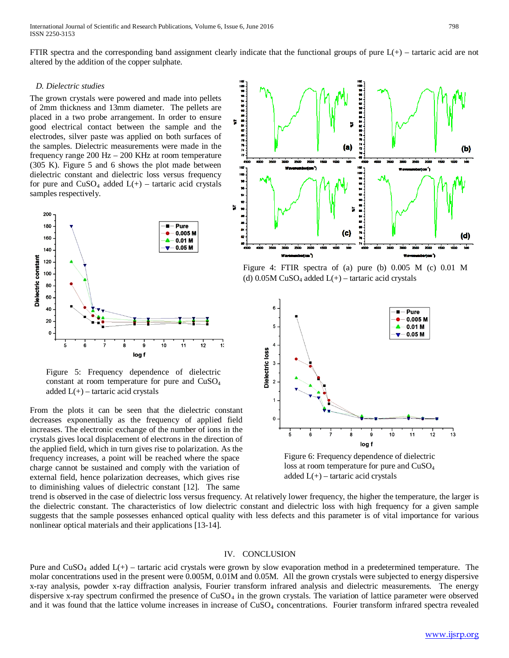International Journal of Scientific and Research Publications, Volume 6, Issue 6, June 2016 798 ISSN 2250-3153

FTIR spectra and the corresponding band assignment clearly indicate that the functional groups of pure  $L(+)$  – tartaric acid are not altered by the addition of the copper sulphate.

#### *D. Dielectric studies*

The grown crystals were powered and made into pellets of 2mm thickness and 13mm diameter. The pellets are placed in a two probe arrangement. In order to ensure good electrical contact between the sample and the electrodes, silver paste was applied on both surfaces of the samples. Dielectric measurements were made in the frequency range 200 Hz – 200 KHz at room temperature (305 K). Figure 5 and 6 shows the plot made between dielectric constant and dielectric loss versus frequency for pure and  $CuSO_4$  added  $L(+)$  – tartaric acid crystals samples respectively.



Figure 5: Frequency dependence of dielectric constant at room temperature for pure and CuSO4 added  $L(+)$  – tartaric acid crystals

From the plots it can be seen that the dielectric constant decreases exponentially as the frequency of applied field increases. The electronic exchange of the number of ions in the crystals gives local displacement of electrons in the direction of the applied field, which in turn gives rise to polarization. As the frequency increases, a point will be reached where the space charge cannot be sustained and comply with the variation of external field, hence polarization decreases, which gives rise to diminishing values of dielectric constant [12]. The same



Figure 4: FTIR spectra of (a) pure (b) 0.005 M (c) 0.01 M (d)  $0.05M$  CuSO<sub>4</sub> added L(+) – tartaric acid crystals



Figure 6: Frequency dependence of dielectric loss at room temperature for pure and CuSO<sub>4</sub> added  $L(+)$  – tartaric acid crystals

trend is observed in the case of dielectric loss versus frequency. At relatively lower frequency, the higher the temperature, the larger is the dielectric constant. The characteristics of low dielectric constant and dielectric loss with high frequency for a given sample suggests that the sample possesses enhanced optical quality with less defects and this parameter is of vital importance for various nonlinear optical materials and their applications [13-14].

#### IV. CONCLUSION

Pure and  $CuSO<sub>4</sub>$  added  $L(+)$  – tartaric acid crystals were grown by slow evaporation method in a predetermined temperature. The molar concentrations used in the present were 0.005M, 0.01M and 0.05M. All the grown crystals were subjected to energy dispersive x-ray analysis, powder x-ray diffraction analysis, Fourier transform infrared analysis and dielectric measurements. The energy dispersive x-ray spectrum confirmed the presence of CuSO<sub>4</sub> in the grown crystals. The variation of lattice parameter were observed and it was found that the lattice volume increases in increase of CuSO<sub>4</sub> concentrations. Fourier transform infrared spectra revealed